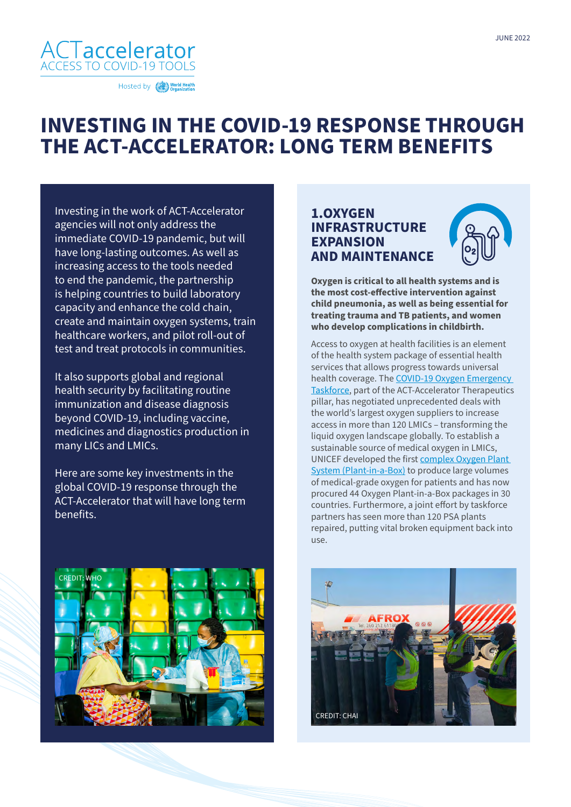

Hosted by World Health

# **INVESTING IN THE COVID-19 RESPONSE THROUGH THE ACT-ACCELERATOR: LONG TERM BENEFITS**

Investing in the work of ACT-Accelerator agencies will not only address the immediate COVID-19 pandemic, but will have long-lasting outcomes. As well as increasing access to the tools needed to end the pandemic, the partnership is helping countries to build laboratory capacity and enhance the cold chain, create and maintain oxygen systems, train healthcare workers, and pilot roll-out of test and treat protocols in communities.

It also supports global and regional health security by facilitating routine immunization and disease diagnosis beyond COVID-19, including vaccine, medicines and diagnostics production in many LICs and LMICs.

Here are some key investments in the global COVID-19 response through the ACT-Accelerator that will have long term benefits.



### **1.OXYGEN INFRASTRUCTURE EXPANSION AND MAINTENANCE**



**Oxygen is critical to all health systems and is the most cost-effective intervention against child pneumonia, as well as being essential for treating trauma and TB patients, and women who develop complications in childbirth.** 

Access to oxygen at health facilities is an element of the health system package of essential health services that allows progress towards universal health coverage. The [COVID-19 Oxygen Emergency](https://unitaid.org/news-blog/the-act-a-oxygen-emergency-taskforceone-year-on/)  [Taskforce](https://unitaid.org/news-blog/the-act-a-oxygen-emergency-taskforceone-year-on/), part of the ACT-Accelerator Therapeutics pillar, has negotiated unprecedented deals with the world's largest oxygen suppliers to increase access in more than 120 LMICs – transforming the liquid oxygen landscape globally. To establish a sustainable source of medical oxygen in LMICs, UNICEF developed the first [complex Oxygen Plant](https://www.unicef.org/supply/stories/oxygen-plant-box-innovation-drives-key-response-covid-19)  [System \(Plant-in-a-Box\)](https://www.unicef.org/supply/stories/oxygen-plant-box-innovation-drives-key-response-covid-19) to produce large volumes of medical-grade oxygen for patients and has now procured 44 Oxygen Plant-in-a-Box packages in 30 countries. Furthermore, a joint effort by taskforce partners has seen more than 120 PSA plants repaired, putting vital broken equipment back into use.

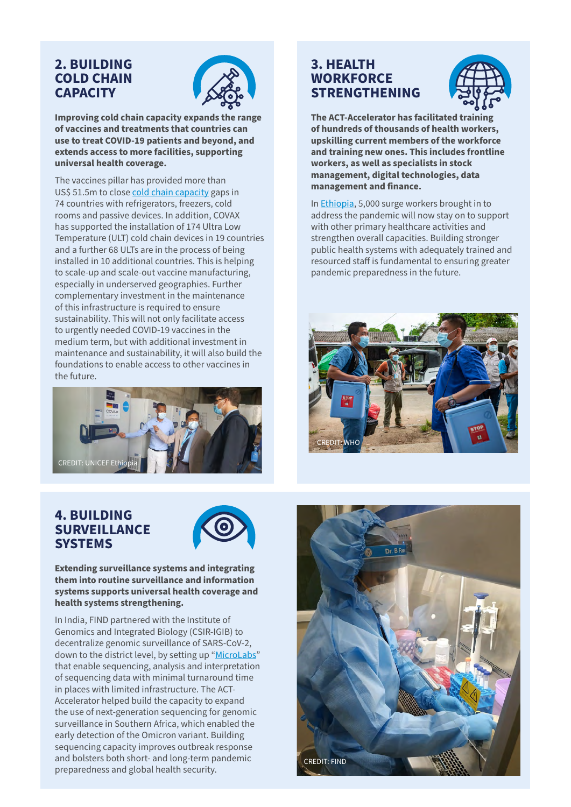### **2. BUILDING COLD CHAIN CAPACITY**



**Improving cold chain capacity expands the range of vaccines and treatments that countries can use to treat COVID-19 patients and beyond, and extends access to more facilities, supporting universal health coverage.**

The vaccines pillar has provided more than US\$ 51.5m to close [cold chain capacity](https://www.unicef.org/nepal/stories/keeping-vaccines-cold) gaps in 74 countries with refrigerators, freezers, cold rooms and passive devices. In addition, COVAX has supported the installation of 174 Ultra Low Temperature (ULT) cold chain devices in 19 countries and a further 68 ULTs are in the process of being installed in 10 additional countries. This is helping to scale-up and scale-out vaccine manufacturing, especially in underserved geographies. Further complementary investment in the maintenance of this infrastructure is required to ensure sustainability. This will not only facilitate access to urgently needed COVID-19 vaccines in the medium term, but with additional investment in maintenance and sustainability, it will also build the foundations to enable access to other vaccines in the future.



# **4. BUILDING SURVEILLANCE SYSTEMS**



#### **Extending surveillance systems and integrating them into routine surveillance and information systems supports universal health coverage and health systems strengthening.**

In India, FIND partnered with the Institute of Genomics and Integrated Biology (CSIR-IGIB) to decentralize genomic surveillance of SARS-CoV-2, down to the district level, by setting up "[MicroLabs](https://www.act-a.org/diagnostics)" that enable sequencing, analysis and interpretation of sequencing data with minimal turnaround time in places with limited infrastructure. The ACT-Accelerator helped build the capacity to expand the use of next-generation sequencing for genomic surveillance in Southern Africa, which enabled the early detection of the Omicron variant. Building sequencing capacity improves outbreak response and bolsters both short- and long-term pandemic preparedness and global health security.

# **3. HEALTH WORKFORCE STRENGTHENING**



**The ACT-Accelerator has facilitated training of hundreds of thousands of health workers, upskilling current members of the workforce and training new ones. This includes frontline workers, as well as specialists in stock management, digital technologies, data management and finance.**

In [Ethiopia](https://www.act-a.org/_files/ugd/903f44_d43421f6fcee4918b2516dd97c488b0b.pdf), 5,000 surge workers brought in to address the pandemic will now stay on to support with other primary healthcare activities and strengthen overall capacities. Building stronger public health systems with adequately trained and resourced staff is fundamental to ensuring greater pandemic preparedness in the future.